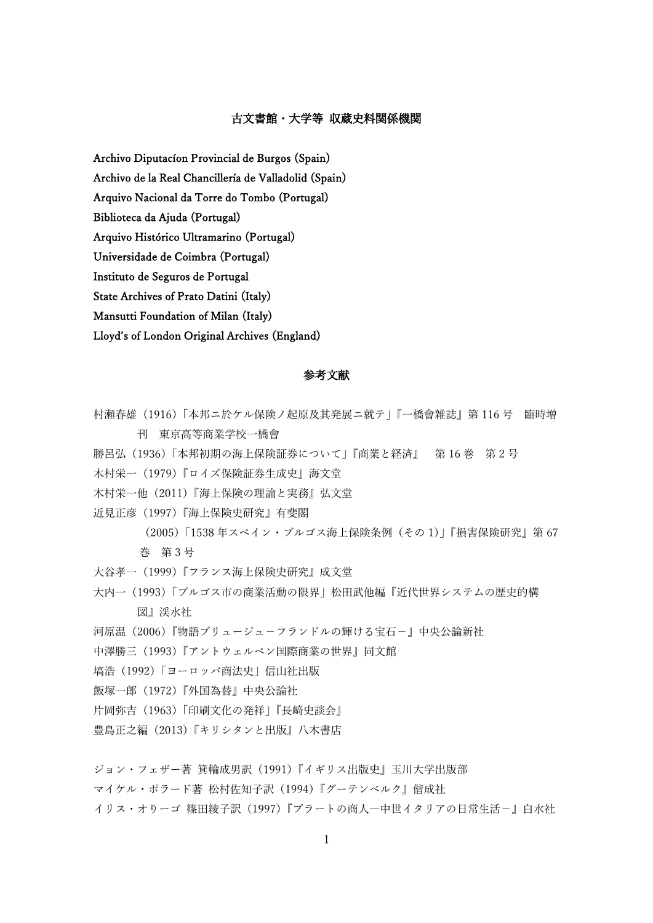## 古文書館・大学等 収蔵史料関係機関

Archivo Diputacíon Provincial de Burgos (Spain)

Archivo de la Real Chancillería de Valladolid (Spain)

Arquivo Nacional da Torre do Tombo (Portugal)

Biblioteca da Ajuda (Portugal)

Arquivo Histórico Ultramarino (Portugal)

Universidade de Coimbra (Portugal)

Instituto de Seguros de Portugal

State Archives of Prato Datini (Italy)

Mansutti Foundation of Milan (Italy)

Lloyd's of London Original Archives (England)

## 参考文献

- 村瀬春雄(1916)「本邦ニ於ケル保険ノ起原及其発展ニ就テ」『一橋會雑誌』第 116 号 臨時増 刊 東京高等商業学校一橋會
- 勝呂弘(1936)「本邦初期の海上保険証券について」『商業と経済』 第 16 巻 第 2 号
- 木村栄一(1979)『ロイズ保険証券生成史』海文堂
- 木村栄一他(2011)『海上保険の理論と実務』弘文堂
- 近見正彦(1997)『海上保険史研究』有斐閣
	- (2005)「1538 年スペイン・ブルゴス海上保険条例(その 1)」『損害保険研究』第 67 巻 第 3 号
- 大谷孝一(1999)『フランス海上保険史研究』成文堂
- 大内一(1993)「ブルゴス市の商業活動の限界」松田武他編『近代世界システムの歴史的構 図』渓水社
- 河原温(2006)『物語ブリュージュ-フランドルの輝ける宝石-』中央公論新社
- 中澤勝三(1993)『アントウェルペン国際商業の世界』同文館
- 塙浩(1992)「ヨーロッパ商法史」信山社出版
- 飯塚一郎(1972)『外国為替』中央公論社
- 片岡弥吉(1963)「印刷文化の発祥」『長﨑史談会』
- 豊島正之編(2013)『キリシタンと出版』八木書店

ジョン・フェザー著 箕輪成男訳 (1991)『イギリス出版史』玉川大学出版部

マイケル・ポラード著 松村佐知子訳(1994)『グーテンベルク』偕成社

イリス・オりーゴ 篠田綾子訳(1997)『プラートの商人―中世イタリアの日常生活-』白水社